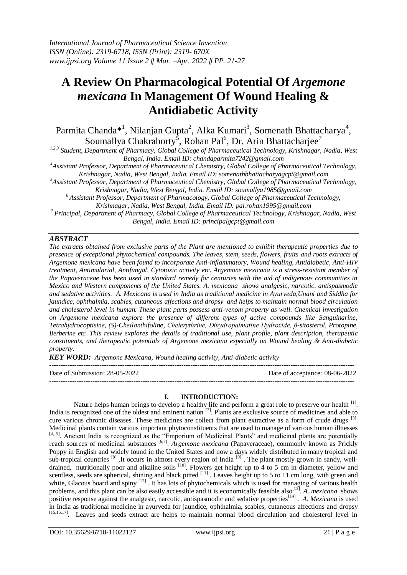# **A Review On Pharmacological Potential Of** *Argemone mexicana* **In Management Of Wound Healing & Antidiabetic Activity**

Parmita Chanda\*<sup>1</sup>, Nilanjan Gupta<sup>2</sup>, Alka Kumari<sup>3</sup>, Somenath Bhattacharya<sup>4</sup>, Soumallya Chakraborty<sup>5</sup>, Rohan Pal<sup>6</sup>, Dr. Arin Bhattacharjee<sup>7</sup>

*1,2,3 Student, Department of Pharmacy, Global College of Pharmaceutical Technology, Krishnagar, Nadia, West Bengal, India. Email ID[: chandaparmita7242@gmail.com](mailto:chandaparmita7242@gmail.com)*

*<sup>4</sup>Assistant Professor, Department of Pharmaceutical Chemistry, Global College of Pharmaceutical Technology,* 

*Krishnagar, Nadia, West Bengal, India. Email ID: [somenathbhattacharyagcpt@gmail.com](mailto:somenathbhattacharyagcpt@gmail.com)*

*<sup>5</sup>Assistant Professor, Department of Pharmaceutical Chemistry, Global College of Pharmaceutical Technology, Krishnagar, Nadia, West Bengal, India. Email ID: [soumallya1985@gmail.com](mailto:soumallya1985@gmail.com)*

*<sup>6</sup>Assistant Professor, Department of Pharmacology, Global College of Pharmaceutical Technology, Krishnagar, Nadia, West Bengal, India. Email ID: [pal.rohan1995@gmail.com](mailto:pal.rohan1995@gmail.com)*

*<sup>7</sup> Principal, Department of Pharmacy, Global College of Pharmaceutical Technology, Krishnagar, Nadia, West Bengal, India. Email ID: [principalgcpt@gmail.com](mailto:principalgcpt@gmail.com)*

# *ABSTRACT*

*The extracts obtained from exclusive parts of the Plant are mentioned to exhibit therapeutic properties due to presence of exceptional phytochemical compounds. The leaves, stem, seeds, flowers, fruits and roots extracts of Argemone mexicana have been found to incorporate Anti-inflammatory, Wound healing, Antidiabetic, Anti-HIV treatment, Antimalarial, Antifungal, Cytotoxic activity etc. Argemone mexicana is a stress-resistant member of the Papaveraceae has been used in standard remedy for centuries with the aid of indigenous communities in Mexico and Western components of the United States. A. mexicana shows analgesic, narcotic, antispasmodic and sedative activities. A. Mexicana is used in India as traditional medicine in Ayurveda,Unani and Siddha for jaundice, ophthalmia, scabies, cutaneous affections and dropsy and helps to maintain normal blood circulation and cholesterol level in human. These plant parts possess anti-venom property as well. Chemical investigation on Argemone mexicana explore the presence of different types of active compounds like Sanguinarine, Tetrahydrocoptisine, (S)-Cheilanthifoline, Chelerythrine, Dihydropalmatine Hydroxide, β-sitosterol, Protopine, Berberine etc. This review explores the details of traditional use, plant profile, plant description, therapeutic constituents, and therapeutic potentials of Argemone mexicana especially on Wound healing & Anti-diabetic property.*

*KEY WORD: Argemone Mexicana, Wound healing activity, Anti-diabetic activity*

-------------------------------------------------------------------------------------------------------------------------------------- Date of Submission: 28-05-2022 Date of acceptance: 08-06-2022 --------------------------------------------------------------------------------------------------------------------------------------

## **I. INTRODUCTION:**

Nature helps human beings to develop a healthy life and perform a great role to preserve our health  $^{[1]}$ . India is recognized one of the oldest and eminent nation <sup>[2]</sup>. Plants are exclusive source of medicines and able to cure various chronic diseases. These medicines are collect from plant extractive as a form of crude drugs <sup>[3]</sup>. Medicinal plants contain various important phytoconstituents that are used to manage of various human illnesses [4, 5]. Ancient India is recognized as the "Emporium of Medicinal Plants" and medicinal plants are potentially reach sources of medicinal substances <sup>[6,7]</sup>. *Argemone mexicana* (Papaveraceae), commonly known as Prickly Poppy in English and widely found in the United States and now a days widely distributed in many tropical and sub-tropical countries  $[8]$ . It occurs in almost every region of India  $[9]$ . The plant mostly grown in sandy, welldrained, nutritionally poor and alkaline soils <sup>[10]</sup>. Flowers get height up to 4 to 5 cm in diameter, yellow and scentless, seeds are spherical, shining and black pitted  $[11]$ . Leaves height up to 5 to 11 cm long, with green and white, Glacous board and spiny <sup>[12]</sup>. It has lots of phytochemicals which is used for managing of various health problems, and this plant can be also easily accessible and it is economically feasible also<sup>[13]</sup>. A. *mexicana* shows positive response against the analgesic, narcotic, antispasmodic and sedative properties<sup>[14]</sup>. A. Mexicana is used in India as traditional medicine in ayurveda for jaundice, ophthalmia, scabies, cutaneous affections and dropsy [15,16,17] . Leaves and seeds extract are helps to maintain normal blood circulation and cholesterol level in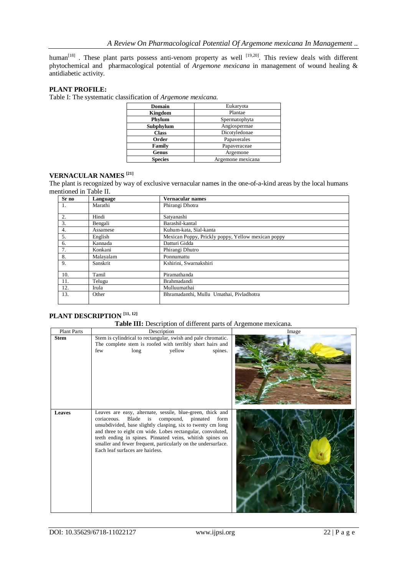human<sup>[18]</sup>. These plant parts possess anti-venom property as well  $[19,20]$ . This review deals with different phytochemical and pharmacological potential of *Argemone mexicana* in management of wound healing & antidiabetic activity.

# **PLANT PROFILE:**

Table I: The systematic classification of *Argemone mexicana.*

| Domain         | Eukaryota         |
|----------------|-------------------|
| Kingdom        | Plantae           |
| Phylum         | Spermatophyta     |
| Subphylum      | Angiospermae      |
| <b>Class</b>   | Dicotyledonae     |
| Order          | Papaverales       |
| Family         | Papaveraceae      |
| Genus          | Argemone          |
| <b>Species</b> | Argemone mexicana |

#### **VERNACULAR NAMES [21]**

The plant is recognized by way of exclusive vernacular names in the one-of-a-kind areas by the local humans mentioned in Table II.

| Sr no | Language  | Vernacular names                                   |  |  |
|-------|-----------|----------------------------------------------------|--|--|
| 1.    | Marathi   | Phirangi Dhotra                                    |  |  |
| 2.    | Hindi     | Satyanashi                                         |  |  |
| 3.    | Bengali   | Barashil-kantal                                    |  |  |
| 4.    | Assamese  | Kuhum-kata, Sial-kanta                             |  |  |
| 5.    | English   | Mexican Poppy, Prickly poppy, Yellow mexican poppy |  |  |
| 6.    | Kannada   | Datturi Gidda                                      |  |  |
| 7.    | Konkani   | Phirangi Dhutro                                    |  |  |
| 8.    | Malayalam | Ponnumattu                                         |  |  |
| 9.    | Sanskrit  | Kshirini, Swarnakshiri                             |  |  |
| 10.   | Tamil     | Piramathanda                                       |  |  |
| 11.   | Telugu    | Brahmadandi                                        |  |  |
| 12.   | Irula     | Mulluumathai                                       |  |  |
| 13.   | Other     | Bhramadanthi, Mullu Umathai, Pivladhotra           |  |  |

## **PLANT DESCRIPTION [11, 12]**

#### **Table III:** Description of different parts of Argemone mexicana.

| <b>Plant Parts</b> | Description                                                                                                                                                                                                                                                                                                                                                                                                     | Image |  |
|--------------------|-----------------------------------------------------------------------------------------------------------------------------------------------------------------------------------------------------------------------------------------------------------------------------------------------------------------------------------------------------------------------------------------------------------------|-------|--|
| <b>Stem</b>        | Stem is cylindrical to rectangular, swish and pale chromatic.<br>The complete stem is roofed with terribly short hairs and<br>yellow<br>long<br>spines.<br>few                                                                                                                                                                                                                                                  |       |  |
| <b>Leaves</b>      | Leaves are easy, alternate, sessile, blue-green, thick and<br>Blade is compound, pinnated<br>coriaceous.<br>form<br>unsubdivided, base slightly clasping, six to twenty cm long<br>and three to eight cm wide. Lobes rectangular, convoluted,<br>teeth ending in spines. Pinnated veins, whitish spines on<br>smaller and fewer frequent, particularly on the undersurface.<br>Each leaf surfaces are hairless. |       |  |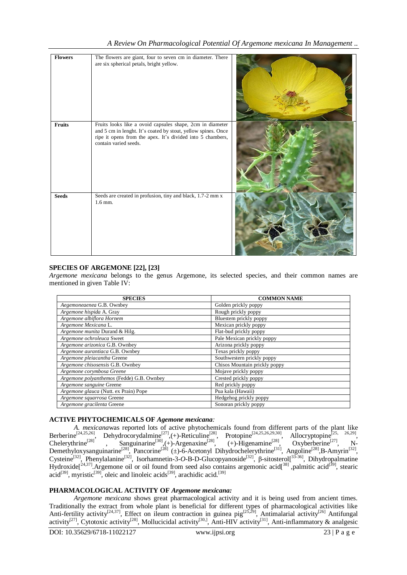| <b>Flowers</b> | The flowers are giant, four to seven cm in diameter. There<br>are six spherical petals, bright yellow.                                                                                                            |  |
|----------------|-------------------------------------------------------------------------------------------------------------------------------------------------------------------------------------------------------------------|--|
| Fruits         | Fruits looks like a ovoid capsules shape, 2cm in diameter<br>and 5 cm in lenght. It's coated by stout, yellow spines. Once<br>ripe it opens from the apex. It's divided into 5 chambers,<br>contain varied seeds. |  |
| <b>Seeds</b>   | Seeds are created in profusion, tiny and black, 1.7-2 mm x<br>$1.6$ mm.                                                                                                                                           |  |

## **SPECIES OF ARGEMONE [22], [23]**

*Argemone mexicana* belongs to the genus Argemone, its selected species, and their common names are mentioned in given Table IV:

| <b>SPECIES</b>                            | <b>COMMON NAME</b>            |
|-------------------------------------------|-------------------------------|
| Aegemoneaenea G.B. Ownbey                 | Golden prickly poppy          |
| Argemone hispida A. Gray                  | Rough prickly poppy           |
| Argemone albiflora Hornem                 | Bluestem prickly poppy        |
| Argemone Mexicana L.                      | Mexican prickly poppy         |
| Argemone munita Durand & Hilg.            | Flat-bud prickly poppy        |
| Argemone ochroleuca Sweet                 | Pale Mexican prickly poppy    |
| Argemone arizonica G.B. Ownbey            | Arizona prickly poppy         |
| Argemone aurantiaca G.B. Ownbey           | Texas prickly poppy           |
| Argemone pleiacantha Greene               | Southwestern prickly poppy    |
| Argemone chisosensis G.B. Ownbey          | Chisos Mountain prickly poppy |
| Argemone corymbosa Greene                 | Mojave prickly poppy          |
| Argemone polyanthemos (Fedde) G.B. Ownbey | Crested prickly poppy         |
| Argemone sanguine Greene                  | Red prickly poppy             |
| Argemone glauca (Nutt. ex Prain) Pope     | Pua kala (Hawaii)             |
| Argemone squarrosa Greene                 | Hedgehog prickly poppy        |
| Argemone gracilenta Greene                | Sonoran prickly poppy         |

## **ACTIVE PHYTOCHEMICALS OF** *Agemone mexicana:*

*A. mexicana*was reported lots of active phytochemicals found from different parts of the plant like Berberine<sup>[24,25,26]</sup>, Dehydrocorydalmine<sup>[27]</sup>,(+)-Reticuline<sup>[28]</sup>, Protopine<sup>[24,25,26,29,30]</sup>, Allocryptopine<sup>[25, 26,29]</sup>, Chelerythrine<sup>[28]</sup>, Sanguinarine<sup>[30]</sup>, (+)-Argenaxine<sup>[28]</sup>, (+)-Higenamine<sup>[28]</sup>, Oxyberberine<sup>[27]</sup>, N-Demethyloxysanguinarine<sup>[28]</sup>, Pancorine<sup>[28]</sup> (±)-6-Acetonyl Dihydrochelerythrine<sup>[31]</sup>, Angoline<sup>[28]</sup>,B-Amyrin<sup>[32]</sup>, Cysteine<sup>[32]</sup>, Phenylalanine<sup>[32]</sup>, Isorhamnetin-3-*O*-B-D-Glucopyanoside<sup>[32]</sup>, β-sitosterol[<sup>33-36]</sup>, Dihydropalmatine Hydroxide $[2^{4,37}]$ . Argemone oil or oil found from seed also contains argemonic acid $[38]$ , palmitic acid $[39]$ , stearic acid<sup>[39]</sup>, myristic<sup>[39]</sup>, oleic and linoleic acids<sup>[39]</sup>, arachidic acid.<sup>[39]</sup>

## **PHARMACOLOGICAL ACTIVITY OF** *Argemone mexicana:*

*Argemone mexicana* shows great pharmacological activity and it is being used from ancient times. Traditionally the extract from whole plant is beneficial for different types of pharmacological activities like Anti-fertility activity<sup>[24,37]</sup>, Effect on ileum contraction in guinea pig<sup>[25,29]</sup>, Antimalarial activity<sup>[26]</sup> Antifungal activity<sup>[27]</sup>, Cytotoxic activity<sup>[28]</sup>, Mollucicidal activity<sup>[30,]</sup>, Anti-HIV activity<sup>[31]</sup>, Anti-inflammatory & analgesic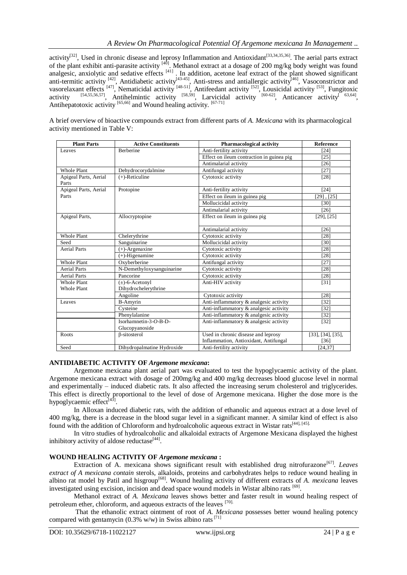activity<sup>[32]</sup>, Used in chronic disease and leprosy Inflammation and Antioxidant<sup>[33,34,35,36]</sup>. The aerial parts extract of the plant exhibit anti-parasite activity  $[40]$ . Methanol extract at a dosage of 200 mg/kg body weight was found analgesic, anxiolytic and sedative effects [41]. In addition, acetone leaf extract of the plant showed significant anti-termitic activity  $[42]$ , Antidiabetic activity  $[43-45]$ , Anti-stress and antiallergic activity  $[46]$ , Vasoconstrictor and vasorelaxant effects  $[47]$ , Nematicidal activity  $[48-51]$ , Antifeedant activity  $[52]$ , Lousicidal activity  $[53]$ , Fungitoxic activity  $^{[54,55,56,57]}$ , Antihelmintic activity  $^{[58,59]}$ , Larvicidal activity  $^{[60-62]}$ , Anticancer activity  $^{[63,64]}$ , Antihepatotoxic activity [65,66] and Wound healing activity. [67-71]

A brief overview of bioactive compounds extract from different parts of *A. Mexicana* with its pharmacological activity mentioned in Table V:

| <b>Plant Parts</b>                       | <b>Active Constituents</b>                  | <b>Pharmacological activity</b>           | <b>Reference</b>           |
|------------------------------------------|---------------------------------------------|-------------------------------------------|----------------------------|
| Leaves                                   | <b>Berberine</b>                            | Anti-fertility activity                   | [24]                       |
|                                          |                                             | Effect on ileum contraction in guinea pig | [25]                       |
|                                          |                                             | Antimalarial activity                     | [26]                       |
| <b>Whole Plant</b>                       | Dehydrocorydalmine                          | Antifungal activity                       | [27]                       |
| Apigeal Parts, Aerial<br>Parts           | $(+)$ -Reticuline                           | Cytotoxic activity                        | [28]                       |
| Apigeal Parts, Aerial                    | Protopine<br>Anti-fertility activity        |                                           | [24]                       |
| Parts                                    |                                             | Effect on ileum in guinea pig             | $[29]$ , $[25]$            |
|                                          |                                             | Mollucicidal activity                     | [30]                       |
|                                          |                                             | Antimalarial activity                     | $[26]$                     |
| Apigeal Parts,                           | Allocryptopine                              | Effect on ileum in guinea pig             | $[29]$ , $[25]$            |
|                                          |                                             | Antimalarial activity                     | [26]                       |
| <b>Whole Plant</b>                       | Chelerythrine                               | Cytotoxic activity                        | [28]                       |
| Seed                                     | Sanguinarine                                | Mollucicidal activity                     | [30]                       |
| <b>Aerial Parts</b>                      | $(+)$ -Argenaxine                           | Cytotoxic activity                        | [28]                       |
|                                          | $(+)$ -Higenamine                           | Cytotoxic activity                        | [28]                       |
| <b>Whole Plant</b>                       | Oxyberberine                                | Antifungal activity                       | $[27]$                     |
| <b>Aerial Parts</b>                      | N-Demethyloxysanguinarine                   | Cytotoxic activity                        | [28]                       |
| <b>Aerial Parts</b>                      | Pancorine                                   | Cytotoxic activity                        | [28]                       |
| <b>Whole Plant</b><br><b>Whole Plant</b> | $(\pm)$ -6-Acetonyl<br>Dihydrochelerythrine | Anti-HIV activity                         | $[31]$                     |
|                                          | Angoline                                    | Cytotoxic activity                        | [28]                       |
| Leaves                                   | <b>B-Amyrin</b>                             | Anti-inflammatory & analgesic activity    | [32]                       |
|                                          | Cysteine                                    | Anti-inflammatory & analgesic activity    | [32]                       |
|                                          | Phenylalanine                               | Anti-inflammatory & analgesic activity    | $[32]$                     |
|                                          | Isorhamnetin-3-O-B-D-                       | Anti-inflammatory & analgesic activity    | $[32]$                     |
|                                          | Glucopyanoside                              |                                           |                            |
| Roots                                    | β-sitosterol                                | Used in chronic disease and leprosy       | $[33]$ , $[34]$ , $[35]$ , |
|                                          |                                             | Inflammation, Antioxidant, Antifungal     | $[36]$                     |
| Seed                                     | Dihydropalmatine Hydroxide                  | Anti-fertility activity                   | [24, 37]                   |

## **ANTIDIABETIC ACTIVITY OF** *Argemone mexicana***:**

Argemone mexicana plant aerial part was evaluated to test the hypoglycaemic activity of the plant. Argemone mexicana extract with dosage of 200mg/kg and 400 mg/kg decreases blood glucose level in normal and experimentally – induced diabetic rats. It also affected the increasing serum cholesterol and triglycerides. This effect is directly proportional to the level of dose of Argemone mexicana. Higher the dose more is the hypoglycaemic effect<sup>[43]</sup>.

In Alloxan induced diabetic rats, with the addition of ethanolic and aqueous extract at a dose level of 400 mg/kg, there is a decrease in the blood sugar level in a significant manner. A similar kind of effect is also found with the addition of Chloroform and hydroalcoholic aqueous extract in Wistar rats<sup>[44], [45].</sup>

In vitro studies of hydroalcoholic and alkaloidal extracts of Argemone Mexicana displayed the highest inhibitory activity of aldose reductase<sup>[44]</sup>.

## **WOUND HEALING ACTIVITY OF** *Argemone mexicana* **:**

Extraction of A. mexicana shows significant result with established drug nitrofurazone<sup>[67]</sup>. Leaves *extract of A mexicana contain* sterols, alkaloids, proteins and carbohydrates helps to reduce wound healing in albino rat model by Patil and hisgroup<sup>[68]</sup>. Wound healing activity of different extracts of *A. mexicana* leaves investigated using excision, incision and dead space wound models in Wistar albino rats [69].

Methanol extract of *A. Mexicana* leaves shows better and faster result in wound healing respect of petroleum ether, chloroform, and aqueous extracts of the leaves [70].

That the ethanolic extract ointment of root of *A. Mexicana* possesses better wound healing potency compared with gentamycin (0.3% w/w) in Swiss albino rats<sup>[71]</sup>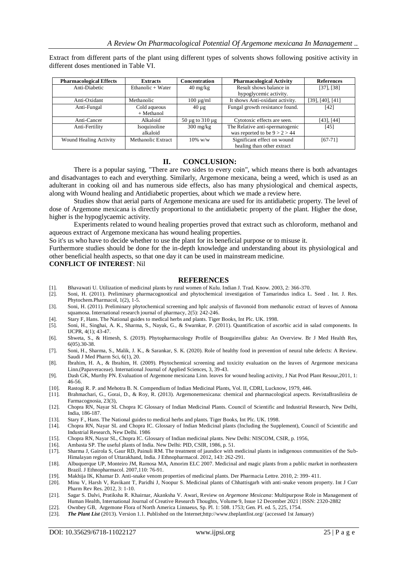| <b>Pharmacological Effects</b> | <b>Extracts</b>            | <b>Concentration</b>             | <b>Pharmacological Activity</b>                                    | <b>References</b>        |
|--------------------------------|----------------------------|----------------------------------|--------------------------------------------------------------------|--------------------------|
| Anti-Diabetic                  | Ethanolic $+$ Water        | $40 \frac{\text{mg}}{\text{kg}}$ | Result shows balance in<br>hypoglycemic activity.                  | $[37]$ , $[38]$          |
|                                |                            |                                  |                                                                    |                          |
| Anti-Oxidant                   | Methanolic                 | $100 \mu g/ml$                   | It shows Anti-oxidant activity.                                    | $[39]$ , $[40]$ , $[41]$ |
| Anti-Fungal                    | Cold aqueous<br>+ Methanol | $40 \mu$ g                       | Fungal growth resistance found.                                    | [42]                     |
| Anti-Cancer                    | Alkaloid                   | $50 \mu$ g to $310 \mu$ g        | Cytotoxic effects are seen.                                        | $[43]$ , $[44]$          |
| Anti-Fertility                 | Isoquinoline<br>alkaloid   | $300 \text{ mg/kg}$              | The Relative anti-spermatogenic<br>was reported to be $9 > 2 > 44$ | [45]                     |
| <b>Wound Healing Activity</b>  | Methanolic Extract         | $10\%$ w/w                       | Significant effect on wound<br>healing than other extract          | $[67-71]$                |

Extract from different parts of the plant using different types of solvents shows following positive activity in different doses mentioned in Table VI.

#### **II. CONCLUSION:**

There is a popular saying, "There are two sides to every coin", which means there is both advantages and disadvantages to each and everything. Similarly, Argemone mexicana, being a weed, which is used as an adulterant in cooking oil and has numerous side effects, also has many physiological and chemical aspects, along with Wound healing and Antidiabetic properties, about which we made a review here.

Studies show that aerial parts of Argemone mexicana are used for its antidiabetic property. The level of dose of Argemone mexicana is directly proportional to the antidiabetic property of the plant. Higher the dose, higher is the hypoglycaemic activity.

Experiments related to wound healing properties proved that extract such as chloroform, methanol and aqueous extract of Argemone mexicana has wound healing properties.

So it's us who have to decide whether to use the plant for its beneficial purpose or to misuse it.

Furthermore studies should be done for the in-depth knowledge and understanding about its physiological and other beneficial health aspects, so that one day it can be used in mainstream medicine.

**CONFLICT OF INTEREST**: Nil

#### **REFERENCES**

- [1]. Bhavawati U. Utilization of medicinal plants by rural women of Kulu. Indian J. Trad. Know. 2003, 2: 366-370.
- [2]. Soni, H. (2011). Preliminary pharmacognostical and phytochemical investigation of Tamarindus indica L. Seed . Int. J. Res. Phytochem.Pharmacol, 1(2), 1-5.
- [3]. Soni, H. (2011). Preliminary phytochemical screening and hplc analysis of flavonoid from methanolic extract of leaves of Annona squamosa. International research journal of pharmacy, 2(5): 242-246.
- [4]. Stary F, Hans. The National guides to medical herbs and plants. Tiger Books, Int Plc. UK. 1998.
- [5]. Soni, H., Singhai, A. K., Sharma, S., Nayak, G., & Swarnkar, P. (2011). Quantification of ascorbic acid in salad components. In IJCPR, 4(1); 43-47.
- [6]. Shweta, S., & Himesh, S. (2019). Phytopharmacology Profile of Bougainvillea glabra: An Overview. Br J Med Health Res, 6(05).30-38.
- [7]. Soni, H., Sharma, S., Malik, J. K., & Sarankar, S. K. (2020). Role of healthy food in prevention of neural tube defects: A Review. Saudi J Med Pharm Sci, 6(1), 20.
- [8]. Ibrahim, H. A., & Ibrahim, H. (2009). Phytochemical screening and toxicity evaluation on the leaves of Argemone mexicana Linn.(Papaveraceae). International Journal of Applied Sciences, 3, 39-43.
- [9]. Dash GK, Murthy PN. Evaluation of Argemone mexicana Linn. leaves for wound healing activity, J Nat Prod Plant Resour,2011, 1: 46-56.
- [10]. Rastogi R. P. and Mehotra B. N. Compendium of Indian Medicinal Plants, Vol. II, CDRI, Lucknow, 1979, 446.
- [11]. Brahmachari, G., Gorai, D., & Roy, R. (2013). Argemonemexicana: chemical and pharmacological aspects. RevistaBrasileira de Farmacognosia, 23(3),
- [12]. Chopra RN, Nayar SL Chopra IC Glossary of Indian Medicinal Plants. Council of Scientific and Industrial Research, New Delhi, India, 186-187.
- [13]. Stary F., Hans. The National guides to medical herbs and plants. Tiger Books, Int Plc. UK. 1998.
- [14]. Chopra RN, Nayar SL and Chopra IC. Glossary of Indian Medicinal plants (Including the Supplement), Council of Scientific and Industrial Research, New Delhi. 1986
- [15]. Chopra RN, Nayar SL, Chopra IC. Glossary of Indian medicinal plants. New Delhi: NISCOM, CSIR, p. 1956,
- [16]. Ambasta SP. The useful plants of India. New Delhi: PID, CSIR, 1986, p. 51.<br>[17]. Sharma J, Gairola S, Gaur RD, Painuli RM. The treatment of jaundice with r
- [17]. Sharma J, Gairola S, Gaur RD, Painuli RM. The treatment of jaundice with medicinal plants in indigenous communities of the Sub-Himalayan region of Uttarakhand, India. J Ethnopharmacol. 2012, 143: 262-291.
- [18]. Albuquerque UP, Monteiro JM, Ramosa MA, Amorim ELC 2007. Medicinal and magic plants from a public market in northeastern Brazil. J Ethnopharmacol. 2007,110: 76-91.
- [19]. Makhija IK, Khamar D. Anti-snake venom properties of medicinal plants. Der Pharmacia Lettre. 2010, 2: 399- 411.
- [20]. Minu V, Harsh V, Ravikant T, Paridhi J, Noopur S. Medicinal plants of Chhattisgarh with anti-snake venom property. Int J Curr Pharm Rev Res. 2012, 3: 1-10.
- [21]. Sagar S. Dalvi, Pratiksha R. Khairnar, Akanksha V. Awari, Review on *Argemone Mexicana*: Multipurpose Role in Management of Human Health, International Journal of Creative Research Thoughts, Volume 9, Issue 12 December 2021 | ISSN: 2320-2882
- [22]. Ownbey GB, Argemone Flora of North America Linnaeus, Sp. Pl. 1: 508. 1753; Gen. Pl. ed. 5, 225, 1754.
- [23]. *The Plant List* (2013). Version 1.1. Published on the Internet;http://www.theplantlist.org/ (accessed 1st January)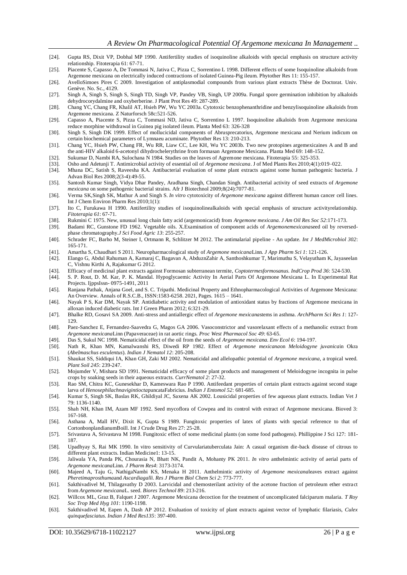- [24]. Gupta RS, Dixit VP, Dobhal MP 1990. Antifertility studies of isoquinoline alkaloids with special emphasis on structure activity relationship. Fitoterapia 61: 67-71.
- [25]. Piacente S, Capasso A, De Tommasi N, Jativa C, Pizza C, Sorrentino L 1998. Different effects of some Isoquinoline alkaloids from Argemone mexicana on electrically induced contractions of isolated Guinea-Pig ileum. Phytother Res 11: 155-157.
- [26]. AvelloSimoes Pires C 2009. Investigation of antiplasmodial compounds from various plant extracts Thèse de Doctorat. Univ. Genève. No. Sc., 4129.
- [27]. Singh A, Singh S, Singh S, Singh TD, Singh VP, Pandey VB, Singh, UP 2009a. Fungal spore germination inhibition by alkaloids dehydrocorydalmine and oxyberberine. J Plant Prot Res 49: 287-289.
- [28]. Chang YC, Chang FR, Khalil AT, Hsieh PW, Wu YC 2003a. Cytotoxic benzophenanthridine and benzylisoquinoline alkaloids from Argemone mexicana. Z Naturforsch 58c:521-526.
- [29]. Capasso A, Piacente S, Pizza C, Tommasi ND, Jativa C, Sorrentino L 1997. Isoquinoline alkaloids from Argemone mexicana reduce morphine withdrawal in Guinea pig isolated ileum. Planta Med 63: 326-328
- [30]. Singh S, Singh DK 1999. Effect of mollucicidal components of Abrusprecatorius, Argemone mexicana and Nerium indicum on certain biochemical parameters of Lymnaeu acuminate. Phytother Res 13: 210-213.
- [31]. Chang YC, Hsieh PW, Chang FR, Wu RR, Liaw CC, Lee KH, Wu YC 2003b. Two new protopines argemexicaines A and B and the anti-HIV alkaloid 6-acetonyl dihydrochelerythrine from formasan Argemone Mexicana. Planta Med 69: 148-152.
- [32]. Sukumar D, Nambi RA, Sulochana N 1984. Studies on the leaves of Agremone mexicana. Fitoterapia 55: 325-353.
- [33]. Osho and Adetunji T. Antimicrobial activity of essential oil of *Argemone mexicana*. J of Med Plants Res 2010;4(1):019–022.
- [34]. Mhana DC, Satish S, Raveesha KA. Antibacterial evaluation of some plant extracts against some human pathogenic bacteria. J Advan Biol Res 2008;2(3-4):49-55.
- [35]. Santosh Kumar Singh, Vidya Dhar Pandey, Aradhana Singh, Chandan Singh. Antibacterial activity of seed extracts of *Argemone mexicana* on some pathogenic bacterial strains. Afr J Biotechnol 2009;8(24):7077-81.
- [36]. Verma SK,Singh SK, Mathur A and Singh S. *In vitro* cytotoxicity of *Argemone mexicana* against different human cancer cell lines. Int J Chem Environ Pharm Res 2010;1(1):
- [37]. Ito C, Furukawa H 1990. Antifertility studies of isoquinolinealkaloids with special emphasis of structure activityrelationship. *Fitoterapia 61*: 67-71.
- [38]. Rukmini C 1975. New, unusual long chain fatty acid (argemonicacid) from *Argemone mexicana. J Am Oil Res Soc 52*:171-173.
- [39]. Badami RC, Gunstone FD 1962. Vegetable oils. X.Examination of component acids of *Argemonemexicana*seed oil by reversedphase chromatography.*J Sci Food Agric 13*: 255-257.
- [40]. Schrader FC, Barho M, Steiner I, Ortmann R, Schlitzer M 2012. The antimalarial pipeline An update. *Int J MedMicrobiol 302*: 165-171.
- [41]. Amartha S, Chaudhari S 2011. Neuropharmacological study of *Argemone mexicana*Linn. *J App Pharm Sci 1*: 121-126.
- [42]. Elango G, Abdul Rahuman A, Kamaraj C, Bagavan A, AbduznZahir A, Santhoshkumar T, Marimuthu S, Velayutham K, Jayaseelan C, Vishnu Kirthi A, Rajakumar G 2012.
- [43]. Efficacy of medicinal plant extracts against Formosan subterranean termite, *Coptotermesformosanus. IndCrop Prod 36*: 524-530.
- [44]. S. P. Rout, D. M. Kar, P. K. Mandal. Hypoglycaemic Activity In Aerial Parts Of Argemone Mexicana L. In Experimental Rat Projects. IjppsIssn- 0975-1491, 2011
- [45]. Ranjana Pathak, Anjana Goel, and S. C. Tripathi. Medicinal Property and Ethnopharmacological Activities of Argemone Mexicana: An Overview. Annals of R.S.C.B., ISSN:1583-6258. 2021, Pages. 1615 – 1641.
- [46]. Nayak P S, Kar DM, Nayak SP. Antidiabetic activity and modulation of antioxidant status by fractions of Argemone mexicana in alloxan induced diabetic rats. Int J Green Pharm 2012; 6:321-29.
- [47]. Bhalke RD, Gosavi SA 2009. Anti-stress and antiallergic effect of *Argemone mexicana*stems in asthma. *ArchPharm Sci Res 1*: 127- 129.
- [48]. Paez-Sanchez E, Fernandez-Saavedra G, Magos GA 2006. Vasoconstrictor and vasorelaxant effects of a methanolic extract from *Argemone mexicana*Linn (Papaveraceae) in rat aortic rings. *Proc West Pharmacol Soc 49*: 63-65.
- [49]. Das S, Sukul NC 1998. Nematicidal effect of the oil from the seeds of *Argemone mexicana. Env Ecol 6*: 194-197.
- [50]. Nath R, Khan MN, Kamalwanshi RS, Diwedi RP 1982. Effect of *Argemone mexicana*on *Meloidogyne juvanica*in Okra (*Abelmaschus esculentus*). *Indian J Nematol 12*: 205-208.
- [51]. Shaukat SS, Siddiqui IA, Khan GH, Zaki MJ 2002. Nematicidal and allelopathic potential of *Argemone mexicana*, a tropical weed. *Plant Soil 245*: 239-247.
- [52]. Mojumder V, Mishara SD 1991. Nematicidal efficacy of some plant products and management of Meloidogyne incognita in pulse crops by soaking seeds in their aqueous extracts. *CurrNematol 2*: 27-32.
- [53]. Rao SM, Chitra KC, Gunesekhar D, Kameswara Rao P 1990. Antifeedant properties of certain plant extracts against second stage larva of *Henosephilachnavigintiocta*puncataFabricius. *Indian J Entomol 52*: 681-685.
- [54]. Kumar S, Singh SK, Baslas RK, Ghildiyal JC, Saxena AK 2002. Lousicidal properties of few aqueous plant extracts. Indian Vet J 79: 1136-1140.
- [55]. Shah NH, Khan IM, Azam MF 1992. Seed mycoflora of Cowpea and its control with extract of Argemone mexicana. Bioved 3: 167-168.
- [56]. Asthana A, Mall HV, Dixit K, Gupta S 1989. Fungitoxic properties of latex of plants with special reference to that of CortonbonplandianumBoill. Int J Crude Drug Res 27: 25-28.
- [57]. Srivastava A, Srivastava M 1998. Fungitoxic effect of some medicinal plants (on some food pathogens). Phillippine J Sci 127: 181- 187.
- [58]. Upadhyay S, Rai MK 1990. In vitro sensitivity of Curvulariatuberculata Jain: A casual organism die-back disease of citrous to different plant extracts. Indian Medicine1: 13-15.
- [59]. Jaliwala YA, Panda PK, Chourasia N, Bhatt NK, Pandit A, Mohanty PK 2011. *In vitro* anthelmintic activity of aerial parts of *Argemone mexicana*Linn. *J Pharm Res4*: 3173-3174.
- [60]. Majeed A, Taju G, NathigaNambi KS, Menaka H 2011. Anthelmintic activity of *Argemone mexicana*leaves extract against *Pheretimaprosthuma*and *Ascardiagalli. Res J Pharm Biol Chem Sci 2*: 773-777.
- [61]. Sakthivadivel M, Thilagavathy D 2003. Larvicidal and chemosterilant activity of the acetone fraction of petroleum ether extract from *Argemone mexicana*L. seed. *Biores Technol 89*: 213-216.
- [62]. Willcox ML, Graz B, Falquet J 2007. Argemone Mexicana decoction for the treatment of uncomplicated falciparum malaria. *T Roy Soc Trop Med Hyg 101*: 1190-1198.
- [63]. Sakthivadivel M, Eapen A, Dash AP 2012. Evaluation of toxicity of plant extracts against vector of lymphatic filariasis, *Culex quinquefasciatus. Indian J Med Res135*: 397-400.